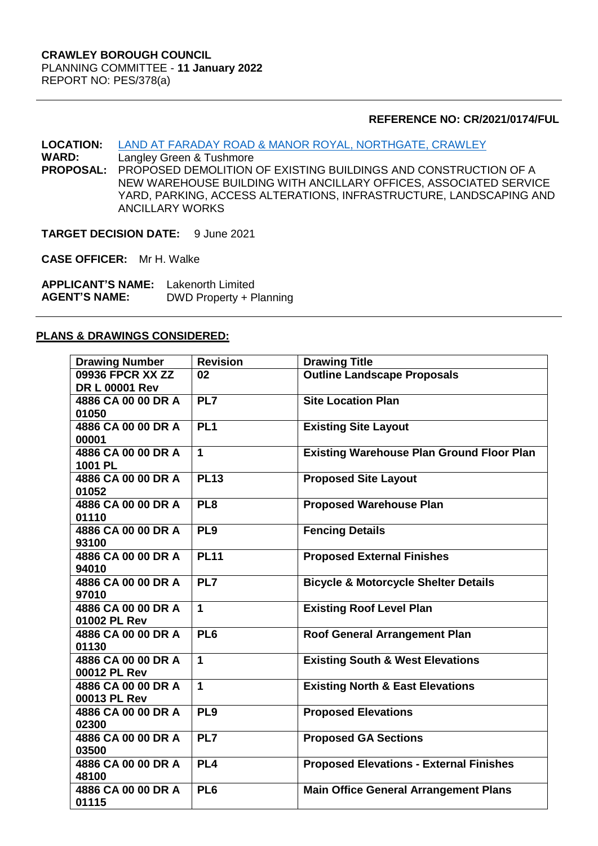#### **REFERENCE NO: CR/2021/0174/FUL**

**LOCATION:** [LAND AT FARADAY ROAD & MANOR ROYAL, NORTHGATE, CRAWLEY](https://planningregister.crawley.gov.uk/Planning/Display/CR/2021/0174/FUL#SupportingDocumentsTab)<br> **WARD:** Langley Green & Tushmore

**Langley Green & Tushmore PROPOSAL:** PROPOSED DEMOLITION OF EXISTING BUILDINGS AND CONSTRUCTION OF A NEW WAREHOUSE BUILDING WITH ANCILLARY OFFICES, ASSOCIATED SERVICE YARD, PARKING, ACCESS ALTERATIONS, INFRASTRUCTURE, LANDSCAPING AND ANCILLARY WORKS

**TARGET DECISION DATE:** 9 June 2021

**CASE OFFICER:** Mr H. Walke

**APPLICANT'S NAME:** Lakenorth Limited **DWD Property + Planning** 

#### **PLANS & DRAWINGS CONSIDERED:**

| <b>Drawing Number</b> | <b>Revision</b> | <b>Drawing Title</b>                             |
|-----------------------|-----------------|--------------------------------------------------|
| 09936 FPCR XX ZZ      | 02              | <b>Outline Landscape Proposals</b>               |
| <b>DR L 00001 Rev</b> |                 |                                                  |
| 4886 CA 00 00 DR A    | PL7             | <b>Site Location Plan</b>                        |
| 01050                 |                 |                                                  |
| 4886 CA 00 00 DR A    | PL <sub>1</sub> | <b>Existing Site Layout</b>                      |
| 00001                 |                 |                                                  |
| 4886 CA 00 00 DR A    | $\mathbf{1}$    | <b>Existing Warehouse Plan Ground Floor Plan</b> |
| 1001 PL               |                 |                                                  |
| 4886 CA 00 00 DR A    | <b>PL13</b>     | <b>Proposed Site Layout</b>                      |
| 01052                 |                 |                                                  |
| 4886 CA 00 00 DR A    | PL <sub>8</sub> | <b>Proposed Warehouse Plan</b>                   |
| 01110                 |                 |                                                  |
| 4886 CA 00 00 DR A    | PL <sub>9</sub> | <b>Fencing Details</b>                           |
| 93100                 |                 |                                                  |
| 4886 CA 00 00 DR A    | <b>PL11</b>     | <b>Proposed External Finishes</b>                |
| 94010                 |                 |                                                  |
| 4886 CA 00 00 DR A    | PL7             | <b>Bicycle &amp; Motorcycle Shelter Details</b>  |
| 97010                 |                 |                                                  |
| 4886 CA 00 00 DR A    | $\mathbf{1}$    | <b>Existing Roof Level Plan</b>                  |
| 01002 PL Rev          |                 |                                                  |
| 4886 CA 00 00 DR A    | PL <sub>6</sub> | <b>Roof General Arrangement Plan</b>             |
| 01130                 |                 |                                                  |
| 4886 CA 00 00 DR A    | $\mathbf 1$     | <b>Existing South &amp; West Elevations</b>      |
| 00012 PL Rev          |                 |                                                  |
| 4886 CA 00 00 DR A    | $\mathbf 1$     | <b>Existing North &amp; East Elevations</b>      |
| 00013 PL Rev          |                 |                                                  |
| 4886 CA 00 00 DR A    | PL <sub>9</sub> | <b>Proposed Elevations</b>                       |
| 02300                 |                 |                                                  |
| 4886 CA 00 00 DR A    | PL7             | <b>Proposed GA Sections</b>                      |
| 03500                 |                 |                                                  |
| 4886 CA 00 00 DR A    | PL <sub>4</sub> | <b>Proposed Elevations - External Finishes</b>   |
| 48100                 |                 |                                                  |
| 4886 CA 00 00 DR A    | PL <sub>6</sub> | <b>Main Office General Arrangement Plans</b>     |
| 01115                 |                 |                                                  |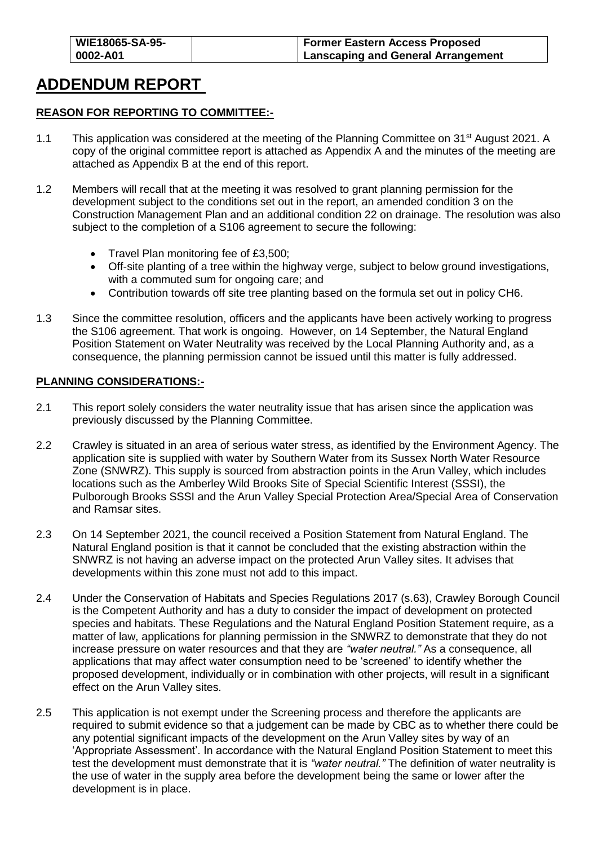# **ADDENDUM REPORT**

### **REASON FOR REPORTING TO COMMITTEE:-**

- 1.1 This application was considered at the meeting of the Planning Committee on 31<sup>st</sup> August 2021. A copy of the original committee report is attached as Appendix A and the minutes of the meeting are attached as Appendix B at the end of this report.
- 1.2 Members will recall that at the meeting it was resolved to grant planning permission for the development subject to the conditions set out in the report, an amended condition 3 on the Construction Management Plan and an additional condition 22 on drainage. The resolution was also subject to the completion of a S106 agreement to secure the following:
	- Travel Plan monitoring fee of £3,500;
	- Off-site planting of a tree within the highway verge, subject to below ground investigations, with a commuted sum for ongoing care; and
	- Contribution towards off site tree planting based on the formula set out in policy CH6.
- 1.3 Since the committee resolution, officers and the applicants have been actively working to progress the S106 agreement. That work is ongoing. However, on 14 September, the Natural England Position Statement on Water Neutrality was received by the Local Planning Authority and, as a consequence, the planning permission cannot be issued until this matter is fully addressed.

#### **PLANNING CONSIDERATIONS:-**

- 2.1 This report solely considers the water neutrality issue that has arisen since the application was previously discussed by the Planning Committee.
- 2.2 Crawley is situated in an area of serious water stress, as identified by the Environment Agency. The application site is supplied with water by Southern Water from its Sussex North Water Resource Zone (SNWRZ). This supply is sourced from abstraction points in the Arun Valley, which includes locations such as the Amberley Wild Brooks Site of Special Scientific Interest (SSSI), the Pulborough Brooks SSSI and the Arun Valley Special Protection Area/Special Area of Conservation and Ramsar sites.
- 2.3 On 14 September 2021, the council received a Position Statement from Natural England. The Natural England position is that it cannot be concluded that the existing abstraction within the SNWRZ is not having an adverse impact on the protected Arun Valley sites. It advises that developments within this zone must not add to this impact.
- 2.4 Under the Conservation of Habitats and Species Regulations 2017 (s.63), Crawley Borough Council is the Competent Authority and has a duty to consider the impact of development on protected species and habitats. These Regulations and the Natural England Position Statement require, as a matter of law, applications for planning permission in the SNWRZ to demonstrate that they do not increase pressure on water resources and that they are *"water neutral."* As a consequence, all applications that may affect water consumption need to be 'screened' to identify whether the proposed development, individually or in combination with other projects, will result in a significant effect on the Arun Valley sites.
- 2.5 This application is not exempt under the Screening process and therefore the applicants are required to submit evidence so that a judgement can be made by CBC as to whether there could be any potential significant impacts of the development on the Arun Valley sites by way of an 'Appropriate Assessment'. In accordance with the Natural England Position Statement to meet this test the development must demonstrate that it is *"water neutral."* The definition of water neutrality is the use of water in the supply area before the development being the same or lower after the development is in place.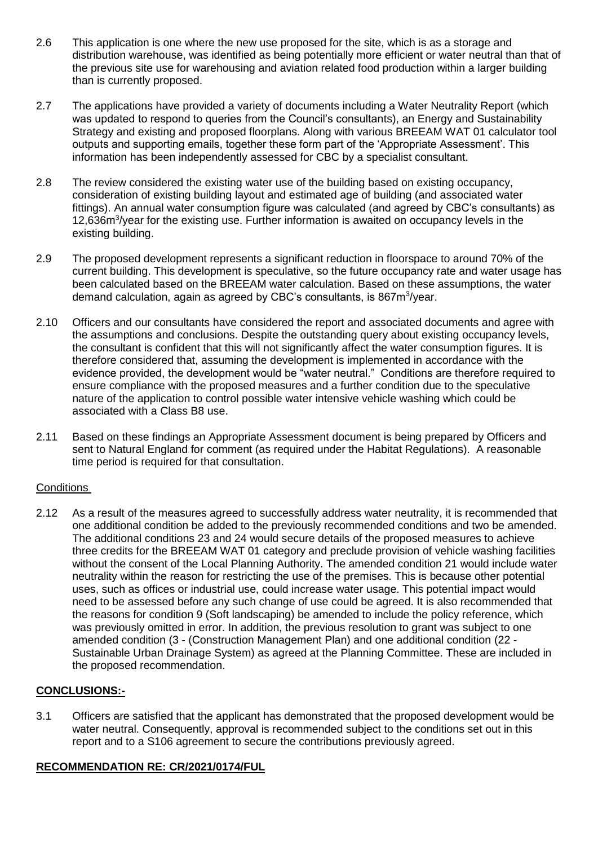- 2.6 This application is one where the new use proposed for the site, which is as a storage and distribution warehouse, was identified as being potentially more efficient or water neutral than that of the previous site use for warehousing and aviation related food production within a larger building than is currently proposed.
- 2.7 The applications have provided a variety of documents including a Water Neutrality Report (which was updated to respond to queries from the Council's consultants), an Energy and Sustainability Strategy and existing and proposed floorplans. Along with various BREEAM WAT 01 calculator tool outputs and supporting emails, together these form part of the 'Appropriate Assessment'. This information has been independently assessed for CBC by a specialist consultant.
- 2.8 The review considered the existing water use of the building based on existing occupancy, consideration of existing building layout and estimated age of building (and associated water fittings). An annual water consumption figure was calculated (and agreed by CBC's consultants) as 12,636m<sup>3</sup>/year for the existing use. Further information is awaited on occupancy levels in the existing building.
- 2.9 The proposed development represents a significant reduction in floorspace to around 70% of the current building. This development is speculative, so the future occupancy rate and water usage has been calculated based on the BREEAM water calculation. Based on these assumptions, the water demand calculation, again as agreed by CBC's consultants, is 867m<sup>3</sup>/year.
- 2.10 Officers and our consultants have considered the report and associated documents and agree with the assumptions and conclusions. Despite the outstanding query about existing occupancy levels, the consultant is confident that this will not significantly affect the water consumption figures. It is therefore considered that, assuming the development is implemented in accordance with the evidence provided, the development would be "water neutral." Conditions are therefore required to ensure compliance with the proposed measures and a further condition due to the speculative nature of the application to control possible water intensive vehicle washing which could be associated with a Class B8 use.
- 2.11 Based on these findings an Appropriate Assessment document is being prepared by Officers and sent to Natural England for comment (as required under the Habitat Regulations). A reasonable time period is required for that consultation.

# **Conditions**

2.12 As a result of the measures agreed to successfully address water neutrality, it is recommended that one additional condition be added to the previously recommended conditions and two be amended. The additional conditions 23 and 24 would secure details of the proposed measures to achieve three credits for the BREEAM WAT 01 category and preclude provision of vehicle washing facilities without the consent of the Local Planning Authority. The amended condition 21 would include water neutrality within the reason for restricting the use of the premises. This is because other potential uses, such as offices or industrial use, could increase water usage. This potential impact would need to be assessed before any such change of use could be agreed. It is also recommended that the reasons for condition 9 (Soft landscaping) be amended to include the policy reference, which was previously omitted in error. In addition, the previous resolution to grant was subject to one amended condition (3 - (Construction Management Plan) and one additional condition (22 - Sustainable Urban Drainage System) as agreed at the Planning Committee. These are included in the proposed recommendation.

# **CONCLUSIONS:-**

3.1 Officers are satisfied that the applicant has demonstrated that the proposed development would be water neutral. Consequently, approval is recommended subject to the conditions set out in this report and to a S106 agreement to secure the contributions previously agreed.

# **RECOMMENDATION RE: CR/2021/0174/FUL**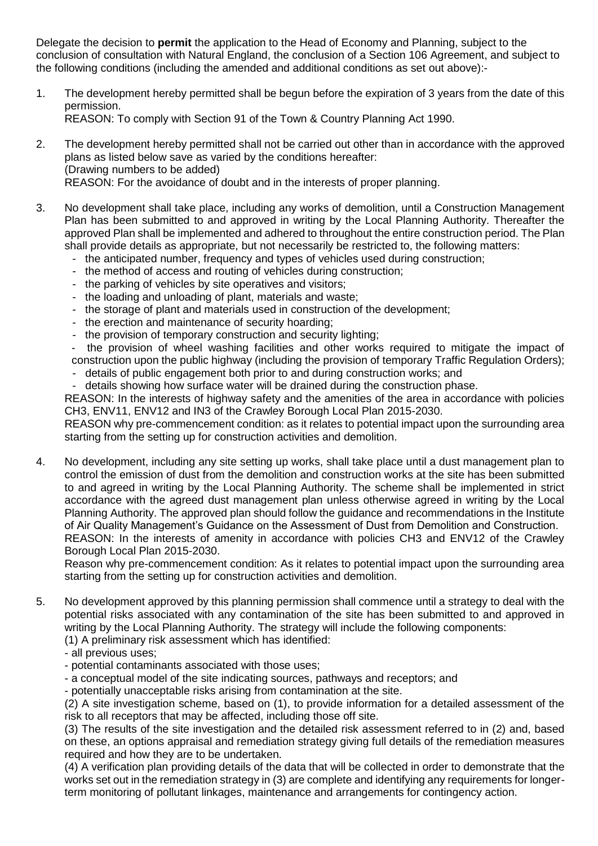Delegate the decision to **permit** the application to the Head of Economy and Planning, subject to the conclusion of consultation with Natural England, the conclusion of a Section 106 Agreement, and subject to the following conditions (including the amended and additional conditions as set out above):-

- 1. The development hereby permitted shall be begun before the expiration of 3 years from the date of this permission. REASON: To comply with Section 91 of the Town & Country Planning Act 1990.
- 2. The development hereby permitted shall not be carried out other than in accordance with the approved plans as listed below save as varied by the conditions hereafter: (Drawing numbers to be added) REASON: For the avoidance of doubt and in the interests of proper planning.
- 3. No development shall take place, including any works of demolition, until a Construction Management Plan has been submitted to and approved in writing by the Local Planning Authority. Thereafter the approved Plan shall be implemented and adhered to throughout the entire construction period. The Plan shall provide details as appropriate, but not necessarily be restricted to, the following matters:
	- the anticipated number, frequency and types of vehicles used during construction;
	- the method of access and routing of vehicles during construction;
	- the parking of vehicles by site operatives and visitors;
	- the loading and unloading of plant, materials and waste;
	- the storage of plant and materials used in construction of the development;
	- the erection and maintenance of security hoarding;
	- the provision of temporary construction and security lighting;

the provision of wheel washing facilities and other works required to mitigate the impact of construction upon the public highway (including the provision of temporary Traffic Regulation Orders);

- details of public engagement both prior to and during construction works; and

- details showing how surface water will be drained during the construction phase.

REASON: In the interests of highway safety and the amenities of the area in accordance with policies CH3, ENV11, ENV12 and IN3 of the Crawley Borough Local Plan 2015-2030.

REASON why pre-commencement condition: as it relates to potential impact upon the surrounding area starting from the setting up for construction activities and demolition.

4. No development, including any site setting up works, shall take place until a dust management plan to control the emission of dust from the demolition and construction works at the site has been submitted to and agreed in writing by the Local Planning Authority. The scheme shall be implemented in strict accordance with the agreed dust management plan unless otherwise agreed in writing by the Local Planning Authority. The approved plan should follow the guidance and recommendations in the Institute of Air Quality Management's Guidance on the Assessment of Dust from Demolition and Construction. REASON: In the interests of amenity in accordance with policies CH3 and ENV12 of the Crawley Borough Local Plan 2015-2030.

Reason why pre-commencement condition: As it relates to potential impact upon the surrounding area starting from the setting up for construction activities and demolition.

5. No development approved by this planning permission shall commence until a strategy to deal with the potential risks associated with any contamination of the site has been submitted to and approved in writing by the Local Planning Authority. The strategy will include the following components:

(1) A preliminary risk assessment which has identified:

- all previous uses;
- potential contaminants associated with those uses;
- a conceptual model of the site indicating sources, pathways and receptors; and

- potentially unacceptable risks arising from contamination at the site.

(2) A site investigation scheme, based on (1), to provide information for a detailed assessment of the risk to all receptors that may be affected, including those off site.

(3) The results of the site investigation and the detailed risk assessment referred to in (2) and, based on these, an options appraisal and remediation strategy giving full details of the remediation measures required and how they are to be undertaken.

(4) A verification plan providing details of the data that will be collected in order to demonstrate that the works set out in the remediation strategy in (3) are complete and identifying any requirements for longerterm monitoring of pollutant linkages, maintenance and arrangements for contingency action.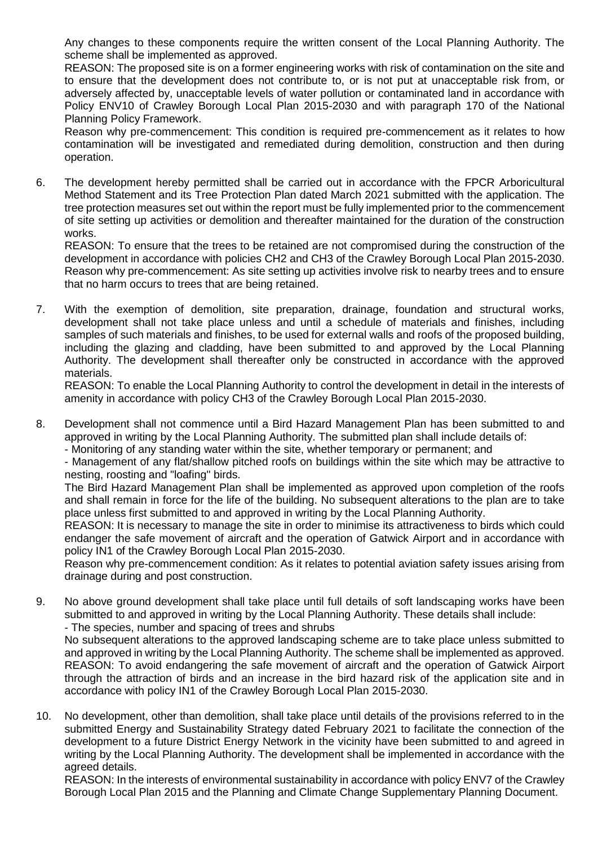Any changes to these components require the written consent of the Local Planning Authority. The scheme shall be implemented as approved.

REASON: The proposed site is on a former engineering works with risk of contamination on the site and to ensure that the development does not contribute to, or is not put at unacceptable risk from, or adversely affected by, unacceptable levels of water pollution or contaminated land in accordance with Policy ENV10 of Crawley Borough Local Plan 2015-2030 and with paragraph 170 of the National Planning Policy Framework.

Reason why pre-commencement: This condition is required pre-commencement as it relates to how contamination will be investigated and remediated during demolition, construction and then during operation.

6. The development hereby permitted shall be carried out in accordance with the FPCR Arboricultural Method Statement and its Tree Protection Plan dated March 2021 submitted with the application. The tree protection measures set out within the report must be fully implemented prior to the commencement of site setting up activities or demolition and thereafter maintained for the duration of the construction works.

REASON: To ensure that the trees to be retained are not compromised during the construction of the development in accordance with policies CH2 and CH3 of the Crawley Borough Local Plan 2015-2030. Reason why pre-commencement: As site setting up activities involve risk to nearby trees and to ensure that no harm occurs to trees that are being retained.

7. With the exemption of demolition, site preparation, drainage, foundation and structural works, development shall not take place unless and until a schedule of materials and finishes, including samples of such materials and finishes, to be used for external walls and roofs of the proposed building, including the glazing and cladding, have been submitted to and approved by the Local Planning Authority. The development shall thereafter only be constructed in accordance with the approved materials.

REASON: To enable the Local Planning Authority to control the development in detail in the interests of amenity in accordance with policy CH3 of the Crawley Borough Local Plan 2015-2030.

8. Development shall not commence until a Bird Hazard Management Plan has been submitted to and approved in writing by the Local Planning Authority. The submitted plan shall include details of:

- Monitoring of any standing water within the site, whether temporary or permanent; and

- Management of any flat/shallow pitched roofs on buildings within the site which may be attractive to nesting, roosting and "loafing" birds.

The Bird Hazard Management Plan shall be implemented as approved upon completion of the roofs and shall remain in force for the life of the building. No subsequent alterations to the plan are to take place unless first submitted to and approved in writing by the Local Planning Authority.

REASON: It is necessary to manage the site in order to minimise its attractiveness to birds which could endanger the safe movement of aircraft and the operation of Gatwick Airport and in accordance with policy IN1 of the Crawley Borough Local Plan 2015-2030.

Reason why pre-commencement condition: As it relates to potential aviation safety issues arising from drainage during and post construction.

9. No above ground development shall take place until full details of soft landscaping works have been submitted to and approved in writing by the Local Planning Authority. These details shall include: - The species, number and spacing of trees and shrubs

No subsequent alterations to the approved landscaping scheme are to take place unless submitted to and approved in writing by the Local Planning Authority. The scheme shall be implemented as approved. REASON: To avoid endangering the safe movement of aircraft and the operation of Gatwick Airport through the attraction of birds and an increase in the bird hazard risk of the application site and in accordance with policy IN1 of the Crawley Borough Local Plan 2015-2030.

10. No development, other than demolition, shall take place until details of the provisions referred to in the submitted Energy and Sustainability Strategy dated February 2021 to facilitate the connection of the development to a future District Energy Network in the vicinity have been submitted to and agreed in writing by the Local Planning Authority. The development shall be implemented in accordance with the agreed details.

REASON: In the interests of environmental sustainability in accordance with policy ENV7 of the Crawley Borough Local Plan 2015 and the Planning and Climate Change Supplementary Planning Document.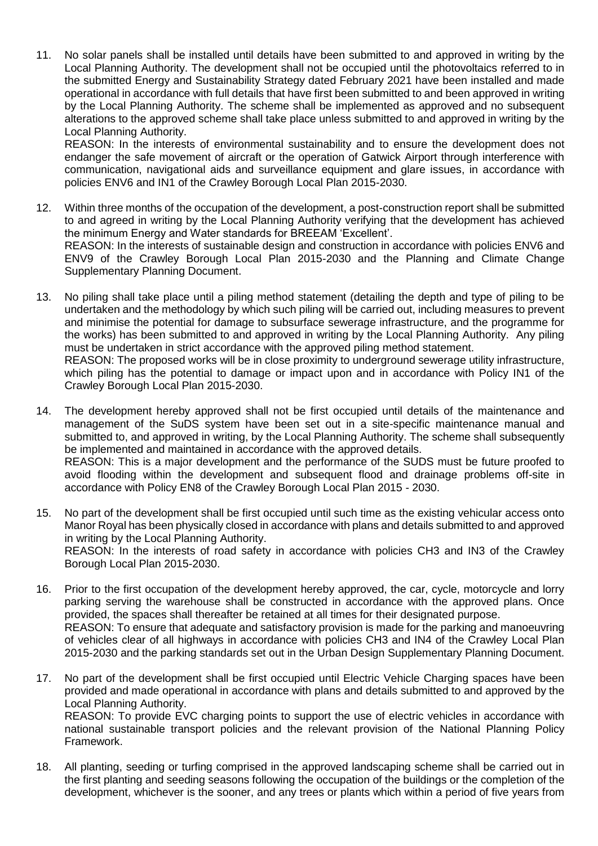11. No solar panels shall be installed until details have been submitted to and approved in writing by the Local Planning Authority. The development shall not be occupied until the photovoltaics referred to in the submitted Energy and Sustainability Strategy dated February 2021 have been installed and made operational in accordance with full details that have first been submitted to and been approved in writing by the Local Planning Authority. The scheme shall be implemented as approved and no subsequent alterations to the approved scheme shall take place unless submitted to and approved in writing by the Local Planning Authority.

REASON: In the interests of environmental sustainability and to ensure the development does not endanger the safe movement of aircraft or the operation of Gatwick Airport through interference with communication, navigational aids and surveillance equipment and glare issues, in accordance with policies ENV6 and IN1 of the Crawley Borough Local Plan 2015-2030.

- 12. Within three months of the occupation of the development, a post-construction report shall be submitted to and agreed in writing by the Local Planning Authority verifying that the development has achieved the minimum Energy and Water standards for BREEAM 'Excellent'. REASON: In the interests of sustainable design and construction in accordance with policies ENV6 and ENV9 of the Crawley Borough Local Plan 2015-2030 and the Planning and Climate Change Supplementary Planning Document.
- 13. No piling shall take place until a piling method statement (detailing the depth and type of piling to be undertaken and the methodology by which such piling will be carried out, including measures to prevent and minimise the potential for damage to subsurface sewerage infrastructure, and the programme for the works) has been submitted to and approved in writing by the Local Planning Authority. Any piling must be undertaken in strict accordance with the approved piling method statement. REASON: The proposed works will be in close proximity to underground sewerage utility infrastructure,

which piling has the potential to damage or impact upon and in accordance with Policy IN1 of the Crawley Borough Local Plan 2015-2030.

- 14. The development hereby approved shall not be first occupied until details of the maintenance and management of the SuDS system have been set out in a site-specific maintenance manual and submitted to, and approved in writing, by the Local Planning Authority. The scheme shall subsequently be implemented and maintained in accordance with the approved details. REASON: This is a major development and the performance of the SUDS must be future proofed to avoid flooding within the development and subsequent flood and drainage problems off-site in accordance with Policy EN8 of the Crawley Borough Local Plan 2015 - 2030.
- 15. No part of the development shall be first occupied until such time as the existing vehicular access onto Manor Royal has been physically closed in accordance with plans and details submitted to and approved in writing by the Local Planning Authority. REASON: In the interests of road safety in accordance with policies CH3 and IN3 of the Crawley Borough Local Plan 2015-2030.
- 16. Prior to the first occupation of the development hereby approved, the car, cycle, motorcycle and lorry parking serving the warehouse shall be constructed in accordance with the approved plans. Once provided, the spaces shall thereafter be retained at all times for their designated purpose. REASON: To ensure that adequate and satisfactory provision is made for the parking and manoeuvring of vehicles clear of all highways in accordance with policies CH3 and IN4 of the Crawley Local Plan 2015-2030 and the parking standards set out in the Urban Design Supplementary Planning Document.
- 17. No part of the development shall be first occupied until Electric Vehicle Charging spaces have been provided and made operational in accordance with plans and details submitted to and approved by the Local Planning Authority. REASON: To provide EVC charging points to support the use of electric vehicles in accordance with national sustainable transport policies and the relevant provision of the National Planning Policy Framework.
- 18. All planting, seeding or turfing comprised in the approved landscaping scheme shall be carried out in the first planting and seeding seasons following the occupation of the buildings or the completion of the development, whichever is the sooner, and any trees or plants which within a period of five years from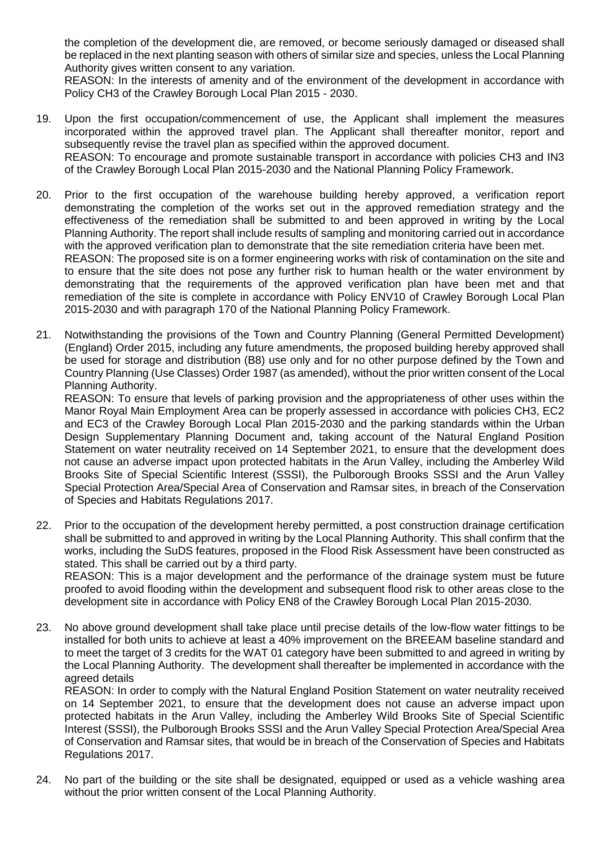the completion of the development die, are removed, or become seriously damaged or diseased shall be replaced in the next planting season with others of similar size and species, unless the Local Planning Authority gives written consent to any variation.

REASON: In the interests of amenity and of the environment of the development in accordance with Policy CH3 of the Crawley Borough Local Plan 2015 - 2030.

- 19. Upon the first occupation/commencement of use, the Applicant shall implement the measures incorporated within the approved travel plan. The Applicant shall thereafter monitor, report and subsequently revise the travel plan as specified within the approved document. REASON: To encourage and promote sustainable transport in accordance with policies CH3 and IN3 of the Crawley Borough Local Plan 2015-2030 and the National Planning Policy Framework.
- 20. Prior to the first occupation of the warehouse building hereby approved, a verification report demonstrating the completion of the works set out in the approved remediation strategy and the effectiveness of the remediation shall be submitted to and been approved in writing by the Local Planning Authority. The report shall include results of sampling and monitoring carried out in accordance with the approved verification plan to demonstrate that the site remediation criteria have been met. REASON: The proposed site is on a former engineering works with risk of contamination on the site and to ensure that the site does not pose any further risk to human health or the water environment by demonstrating that the requirements of the approved verification plan have been met and that remediation of the site is complete in accordance with Policy ENV10 of Crawley Borough Local Plan
- 21. Notwithstanding the provisions of the Town and Country Planning (General Permitted Development) (England) Order 2015, including any future amendments, the proposed building hereby approved shall be used for storage and distribution (B8) use only and for no other purpose defined by the Town and Country Planning (Use Classes) Order 1987 (as amended), without the prior written consent of the Local Planning Authority.

2015-2030 and with paragraph 170 of the National Planning Policy Framework.

REASON: To ensure that levels of parking provision and the appropriateness of other uses within the Manor Royal Main Employment Area can be properly assessed in accordance with policies CH3, EC2 and EC3 of the Crawley Borough Local Plan 2015-2030 and the parking standards within the Urban Design Supplementary Planning Document and, taking account of the Natural England Position Statement on water neutrality received on 14 September 2021, to ensure that the development does not cause an adverse impact upon protected habitats in the Arun Valley, including the Amberley Wild Brooks Site of Special Scientific Interest (SSSI), the Pulborough Brooks SSSI and the Arun Valley Special Protection Area/Special Area of Conservation and Ramsar sites, in breach of the Conservation of Species and Habitats Regulations 2017.

22. Prior to the occupation of the development hereby permitted, a post construction drainage certification shall be submitted to and approved in writing by the Local Planning Authority. This shall confirm that the works, including the SuDS features, proposed in the Flood Risk Assessment have been constructed as stated. This shall be carried out by a third party. REASON: This is a major development and the performance of the drainage system must be future

proofed to avoid flooding within the development and subsequent flood risk to other areas close to the development site in accordance with Policy EN8 of the Crawley Borough Local Plan 2015-2030.

23. No above ground development shall take place until precise details of the low-flow water fittings to be installed for both units to achieve at least a 40% improvement on the BREEAM baseline standard and to meet the target of 3 credits for the WAT 01 category have been submitted to and agreed in writing by the Local Planning Authority. The development shall thereafter be implemented in accordance with the agreed details

REASON: In order to comply with the Natural England Position Statement on water neutrality received on 14 September 2021, to ensure that the development does not cause an adverse impact upon protected habitats in the Arun Valley, including the Amberley Wild Brooks Site of Special Scientific Interest (SSSI), the Pulborough Brooks SSSI and the Arun Valley Special Protection Area/Special Area of Conservation and Ramsar sites, that would be in breach of the Conservation of Species and Habitats Regulations 2017.

24. No part of the building or the site shall be designated, equipped or used as a vehicle washing area without the prior written consent of the Local Planning Authority.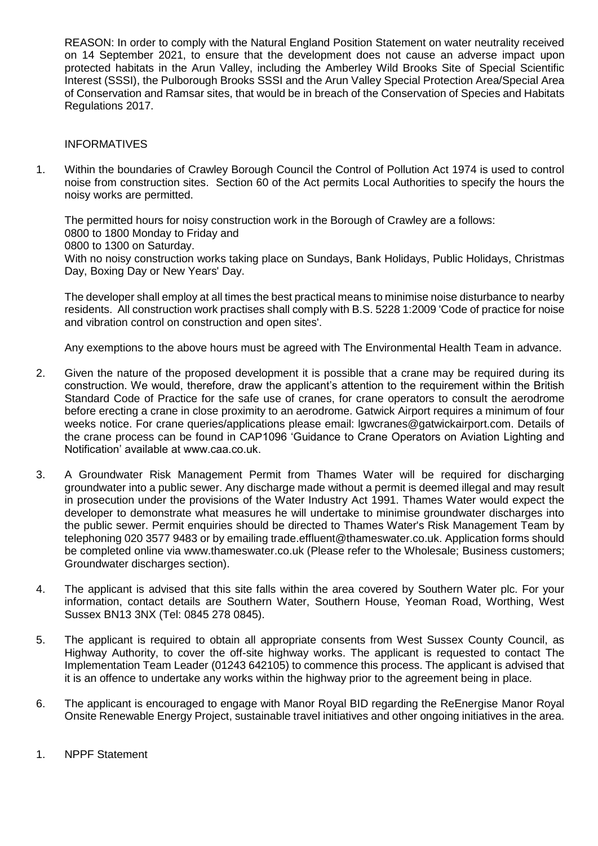REASON: In order to comply with the Natural England Position Statement on water neutrality received on 14 September 2021, to ensure that the development does not cause an adverse impact upon protected habitats in the Arun Valley, including the Amberley Wild Brooks Site of Special Scientific Interest (SSSI), the Pulborough Brooks SSSI and the Arun Valley Special Protection Area/Special Area of Conservation and Ramsar sites, that would be in breach of the Conservation of Species and Habitats Regulations 2017.

#### **INFORMATIVES**

1. Within the boundaries of Crawley Borough Council the Control of Pollution Act 1974 is used to control noise from construction sites. Section 60 of the Act permits Local Authorities to specify the hours the noisy works are permitted.

The permitted hours for noisy construction work in the Borough of Crawley are a follows: 0800 to 1800 Monday to Friday and 0800 to 1300 on Saturday. With no noisy construction works taking place on Sundays, Bank Holidays, Public Holidays, Christmas Day, Boxing Day or New Years' Day.

The developer shall employ at all times the best practical means to minimise noise disturbance to nearby residents. All construction work practises shall comply with B.S. 5228 1:2009 'Code of practice for noise and vibration control on construction and open sites'.

Any exemptions to the above hours must be agreed with The Environmental Health Team in advance.

- 2. Given the nature of the proposed development it is possible that a crane may be required during its construction. We would, therefore, draw the applicant's attention to the requirement within the British Standard Code of Practice for the safe use of cranes, for crane operators to consult the aerodrome before erecting a crane in close proximity to an aerodrome. Gatwick Airport requires a minimum of four weeks notice. For crane queries/applications please email: lgwcranes@gatwickairport.com. Details of the crane process can be found in CAP1096 'Guidance to Crane Operators on Aviation Lighting and Notification' available at www.caa.co.uk.
- 3. A Groundwater Risk Management Permit from Thames Water will be required for discharging groundwater into a public sewer. Any discharge made without a permit is deemed illegal and may result in prosecution under the provisions of the Water Industry Act 1991. Thames Water would expect the developer to demonstrate what measures he will undertake to minimise groundwater discharges into the public sewer. Permit enquiries should be directed to Thames Water's Risk Management Team by telephoning 020 3577 9483 or by emailing trade.effluent@thameswater.co.uk. Application forms should be completed online via www.thameswater.co.uk (Please refer to the Wholesale; Business customers; Groundwater discharges section).
- 4. The applicant is advised that this site falls within the area covered by Southern Water plc. For your information, contact details are Southern Water, Southern House, Yeoman Road, Worthing, West Sussex BN13 3NX (Tel: 0845 278 0845).
- 5. The applicant is required to obtain all appropriate consents from West Sussex County Council, as Highway Authority, to cover the off-site highway works. The applicant is requested to contact The Implementation Team Leader (01243 642105) to commence this process. The applicant is advised that it is an offence to undertake any works within the highway prior to the agreement being in place.
- 6. The applicant is encouraged to engage with Manor Royal BID regarding the ReEnergise Manor Royal Onsite Renewable Energy Project, sustainable travel initiatives and other ongoing initiatives in the area.
- 1. NPPF Statement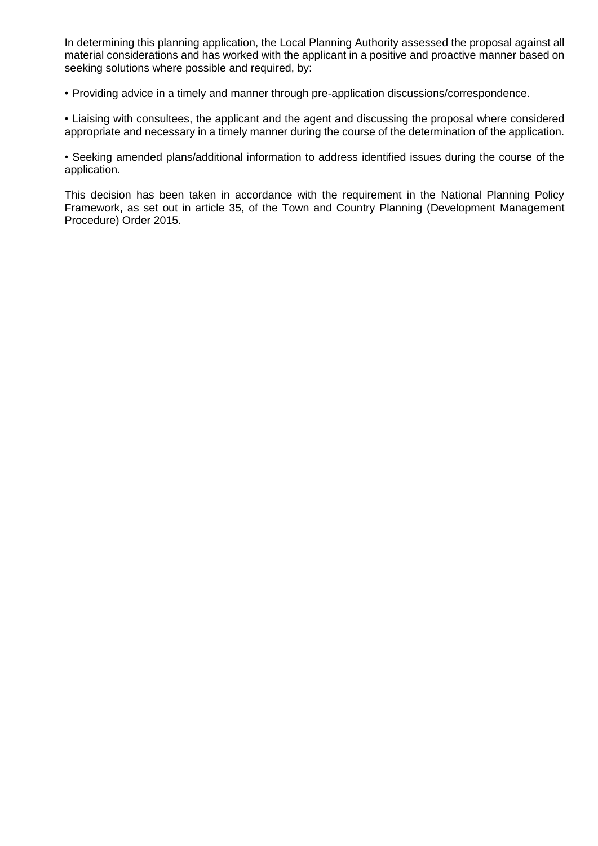In determining this planning application, the Local Planning Authority assessed the proposal against all material considerations and has worked with the applicant in a positive and proactive manner based on seeking solutions where possible and required, by:

• Providing advice in a timely and manner through pre-application discussions/correspondence.

• Liaising with consultees, the applicant and the agent and discussing the proposal where considered appropriate and necessary in a timely manner during the course of the determination of the application.

• Seeking amended plans/additional information to address identified issues during the course of the application.

This decision has been taken in accordance with the requirement in the National Planning Policy Framework, as set out in article 35, of the Town and Country Planning (Development Management Procedure) Order 2015.